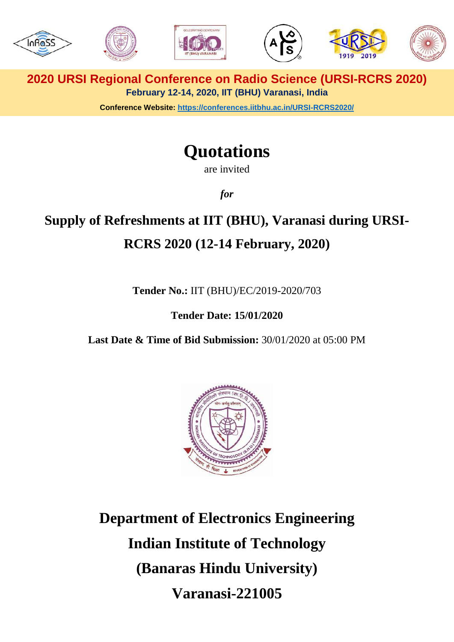

**2020 URSI Regional Conference on Radio Science (URSI-RCRS 2020) February 12-14, 2020, IIT (BHU) Varanasi, India**

**Conference Website:<https://conferences.iitbhu.ac.in/URSI-RCRS2020/>**

# **Quotations**

are invited

*for*

# **Supply of Refreshments at IIT (BHU), Varanasi during URSI-RCRS 2020 (12-14 February, 2020)**

**Tender No.:** IIT (BHU)/EC/2019-2020/703

**Tender Date: 15/01/2020**

**Last Date & Time of Bid Submission:** 30/01/2020 at 05:00 PM



**Department of Electronics Engineering Indian Institute of Technology (Banaras Hindu University) Varanasi-221005**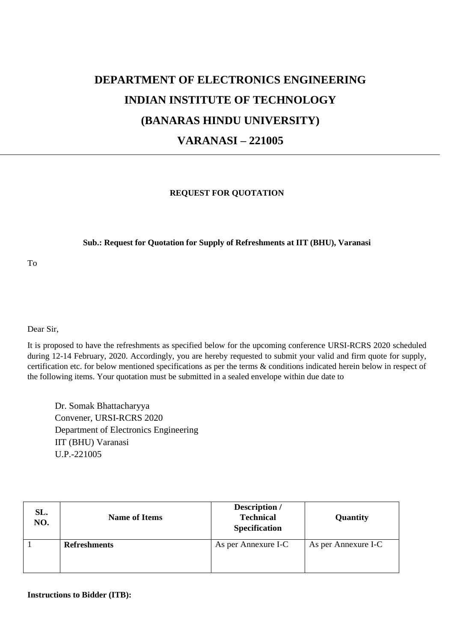# **DEPARTMENT OF ELECTRONICS ENGINEERING INDIAN INSTITUTE OF TECHNOLOGY (BANARAS HINDU UNIVERSITY) VARANASI – 221005**

#### **REQUEST FOR QUOTATION**

#### **Sub.: Request for Quotation for Supply of Refreshments at IIT (BHU), Varanasi**

To

Dear Sir,

It is proposed to have the refreshments as specified below for the upcoming conference URSI-RCRS 2020 scheduled during 12-14 February, 2020. Accordingly, you are hereby requested to submit your valid and firm quote for supply, certification etc. for below mentioned specifications as per the terms & conditions indicated herein below in respect of the following items. Your quotation must be submitted in a sealed envelope within due date to

Dr. Somak Bhattacharyya Convener, URSI-RCRS 2020 Department of Electronics Engineering IIT (BHU) Varanasi U.P.-221005

| SL.<br>NO. | <b>Name of Items</b> | Description /<br><b>Technical</b><br>Specification | Quantity            |
|------------|----------------------|----------------------------------------------------|---------------------|
|            | <b>Refreshments</b>  | As per Annexure I-C                                | As per Annexure I-C |

**Instructions to Bidder (ITB):**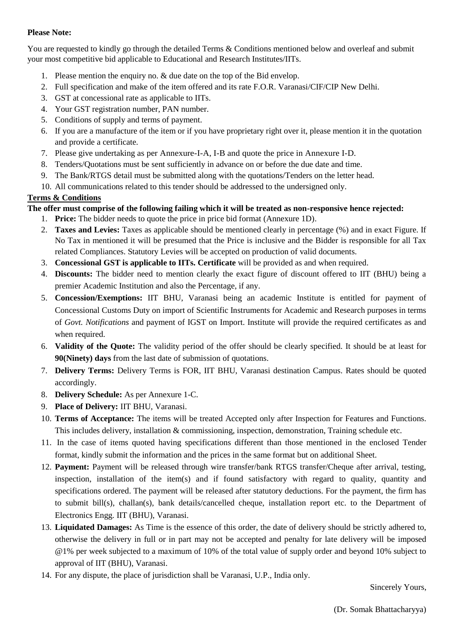### **Please Note:**

You are requested to kindly go through the detailed Terms & Conditions mentioned below and overleaf and submit your most competitive bid applicable to Educational and Research Institutes/IITs.

- 1. Please mention the enquiry no. & due date on the top of the Bid envelop.
- 2. Full specification and make of the item offered and its rate F.O.R. Varanasi/CIF/CIP New Delhi.
- 3. GST at concessional rate as applicable to IITs.
- 4. Your GST registration number, PAN number.
- 5. Conditions of supply and terms of payment.
- 6. If you are a manufacture of the item or if you have proprietary right over it, please mention it in the quotation and provide a certificate.
- 7. Please give undertaking as per Annexure-I-A, I-B and quote the price in Annexure I-D.
- 8. Tenders/Quotations must be sent sufficiently in advance on or before the due date and time.
- 9. The Bank/RTGS detail must be submitted along with the quotations/Tenders on the letter head.
- 10. All communications related to this tender should be addressed to the undersigned only.

### **Terms & Conditions**

### **The offer must comprise of the following failing which it will be treated as non-responsive hence rejected:**

- 1. **Price:** The bidder needs to quote the price in price bid format (Annexure 1D).
- 2. **Taxes and Levies:** Taxes as applicable should be mentioned clearly in percentage (%) and in exact Figure. If No Tax in mentioned it will be presumed that the Price is inclusive and the Bidder is responsible for all Tax related Compliances. Statutory Levies will be accepted on production of valid documents.
- 3. **Concessional GST is applicable to IITs. Certificate** will be provided as and when required.
- 4. **Discounts:** The bidder need to mention clearly the exact figure of discount offered to IIT (BHU) being a premier Academic Institution and also the Percentage, if any.
- 5. **Concession/Exemptions:** IIT BHU, Varanasi being an academic Institute is entitled for payment of Concessional Customs Duty on import of Scientific Instruments for Academic and Research purposes in terms of *Govt. Notifications* and payment of IGST on Import. Institute will provide the required certificates as and when required.
- 6. **Validity of the Quote:** The validity period of the offer should be clearly specified. It should be at least for **90(Ninety) days** from the last date of submission of quotations.
- 7. **Delivery Terms:** Delivery Terms is FOR, IIT BHU, Varanasi destination Campus. Rates should be quoted accordingly.
- 8. **Delivery Schedule:** As per Annexure 1-C.
- 9. **Place of Delivery:** IIT BHU, Varanasi.
- 10. **Terms of Acceptance:** The items will be treated Accepted only after Inspection for Features and Functions. This includes delivery, installation & commissioning, inspection, demonstration, Training schedule etc.
- 11. In the case of items quoted having specifications different than those mentioned in the enclosed Tender format, kindly submit the information and the prices in the same format but on additional Sheet.
- 12. **Payment:** Payment will be released through wire transfer/bank RTGS transfer/Cheque after arrival, testing, inspection, installation of the item(s) and if found satisfactory with regard to quality, quantity and specifications ordered. The payment will be released after statutory deductions. For the payment, the firm has to submit bill(s), challan(s), bank details/cancelled cheque, installation report etc. to the Department of Electronics Engg. IIT (BHU), Varanasi.
- 13. **Liquidated Damages:** As Time is the essence of this order, the date of delivery should be strictly adhered to, otherwise the delivery in full or in part may not be accepted and penalty for late delivery will be imposed @1% per week subjected to a maximum of 10% of the total value of supply order and beyond 10% subject to approval of IIT (BHU), Varanasi.
- 14. For any dispute, the place of jurisdiction shall be Varanasi, U.P., India only.

Sincerely Yours,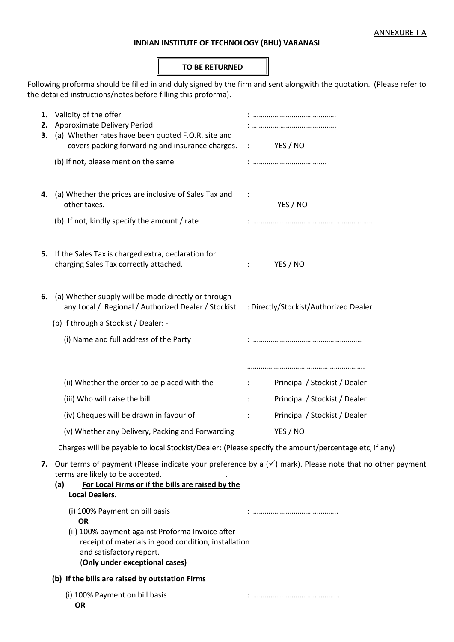## **INDIAN INSTITUTE OF TECHNOLOGY (BHU) VARANASI**

#### **TO BE RETURNED**

Following proforma should be filled in and duly signed by the firm and sent alongwith the quotation. (Please refer to the detailed instructions/notes before filling this proforma).

| 2.<br>з. | 1. Validity of the offer<br>Approximate Delivery Period<br>(a) Whether rates have been quoted F.O.R. site and<br>covers packing forwarding and insurance charges.                                                                              |                      | YES / NO<br>$\ddot{\phantom{0}}$      |  |  |
|----------|------------------------------------------------------------------------------------------------------------------------------------------------------------------------------------------------------------------------------------------------|----------------------|---------------------------------------|--|--|
|          | (b) If not, please mention the same                                                                                                                                                                                                            |                      |                                       |  |  |
| 4.       | (a) Whether the prices are inclusive of Sales Tax and<br>other taxes.                                                                                                                                                                          | $\ddot{\cdot}$       | YES / NO                              |  |  |
|          | (b) If not, kindly specify the amount / rate                                                                                                                                                                                                   |                      |                                       |  |  |
| 5.       | If the Sales Tax is charged extra, declaration for<br>charging Sales Tax correctly attached.                                                                                                                                                   |                      | YES / NO                              |  |  |
| 6.       | (a) Whether supply will be made directly or through<br>any Local / Regional / Authorized Dealer / Stockist                                                                                                                                     |                      | : Directly/Stockist/Authorized Dealer |  |  |
|          | (b) If through a Stockist / Dealer: -                                                                                                                                                                                                          |                      |                                       |  |  |
|          | (i) Name and full address of the Party                                                                                                                                                                                                         |                      |                                       |  |  |
|          | (ii) Whether the order to be placed with the                                                                                                                                                                                                   | $\ddot{\phantom{0}}$ | Principal / Stockist / Dealer         |  |  |
|          | (iii) Who will raise the bill                                                                                                                                                                                                                  |                      | Principal / Stockist / Dealer         |  |  |
|          | (iv) Cheques will be drawn in favour of                                                                                                                                                                                                        |                      | Principal / Stockist / Dealer         |  |  |
|          | (v) Whether any Delivery, Packing and Forwarding                                                                                                                                                                                               |                      | YES / NO                              |  |  |
|          | Charges will be payable to local Stockist/Dealer: (Please specify the amount/percentage etc, if any)                                                                                                                                           |                      |                                       |  |  |
|          | 7. Our terms of payment (Please indicate your preference by a $(\checkmark)$ mark). Please note that no other payment<br>terms are likely to be accepted.<br>For Local Firms or if the bills are raised by the<br>(a)<br><b>Local Dealers.</b> |                      |                                       |  |  |
|          | (i) 100% Payment on bill basis<br><b>OR</b><br>(ii) 100% payment against Proforma Invoice after<br>receipt of materials in good condition, installation<br>and satisfactory report.<br>(Only under exceptional cases)                          |                      |                                       |  |  |
|          | (b) If the bills are raised by outstation Firms                                                                                                                                                                                                |                      |                                       |  |  |
|          | (i) 100% Payment on bill basis<br><b>OR</b>                                                                                                                                                                                                    |                      |                                       |  |  |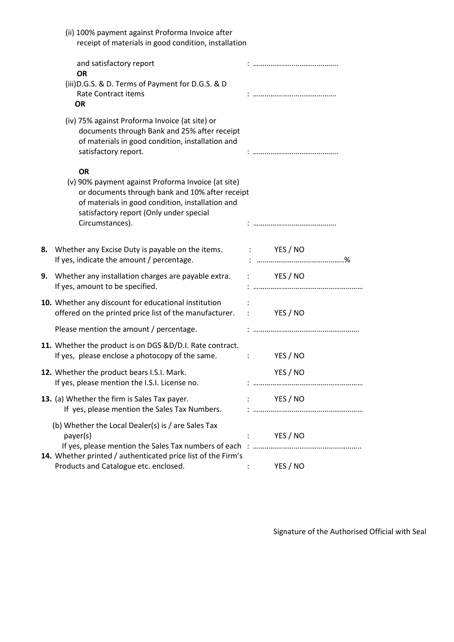| (ii) 100% payment against Proforma Invoice after<br>receipt of materials in good condition, installation                                                                                                                             |                         |
|--------------------------------------------------------------------------------------------------------------------------------------------------------------------------------------------------------------------------------------|-------------------------|
| and satisfactory report<br><b>OR</b>                                                                                                                                                                                                 |                         |
| (iii) D.G.S. & D. Terms of Payment for D.G.S. & D<br><b>Rate Contract items</b><br><b>OR</b>                                                                                                                                         |                         |
| (iv) 75% against Proforma Invoice (at site) or<br>documents through Bank and 25% after receipt<br>of materials in good condition, installation and<br>satisfactory report.                                                           |                         |
| <b>OR</b><br>(v) 90% payment against Proforma Invoice (at site)<br>or documents through bank and 10% after receipt<br>of materials in good condition, installation and<br>satisfactory report (Only under special<br>Circumstances). |                         |
| 8. Whether any Excise Duty is payable on the items. : YES / NO<br>If yes, indicate the amount / percentage.                                                                                                                          |                         |
| Whether any installation charges are payable extra. : YES / NO<br>9.<br>If yes, amount to be specified.                                                                                                                              |                         |
| 10. Whether any discount for educational institution<br>offered on the printed price list of the manufacturer. : YES / NO                                                                                                            |                         |
| Please mention the amount / percentage.                                                                                                                                                                                              |                         |
| 11. Whether the product is on DGS &D/D.I. Rate contract.<br>If yes, please enclose a photocopy of the same.                                                                                                                          | Example 19 YES / NO     |
| 12. Whether the product bears I.S.I. Mark.<br>If yes, please mention the I.S.I. License no.                                                                                                                                          | YES / NO                |
| 13. (a) Whether the firm is Sales Tax payer.<br>If yes, please mention the Sales Tax Numbers.                                                                                                                                        | YES / NO<br>$1 - 1 - 1$ |
| (b) Whether the Local Dealer(s) is / are Sales Tax<br>payer(s)                                                                                                                                                                       | YES / NO                |
| 14. Whether printed / authenticated price list of the Firm's<br>Products and Catalogue etc. enclosed.                                                                                                                                | YES / NO                |

Signature of the Authorised Official with Seal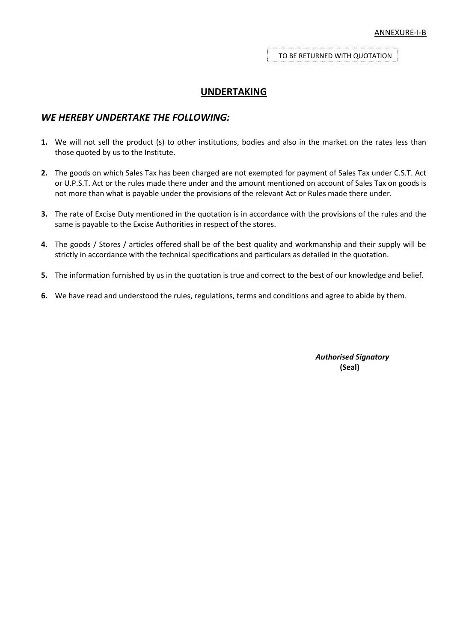TO BE RETURNED WITH QUOTATION

## **UNDERTAKING**

### *WE HEREBY UNDERTAKE THE FOLLOWING:*

- **1.** We will not sell the product (s) to other institutions, bodies and also in the market on the rates less than those quoted by us to the Institute.
- **2.** The goods on which Sales Tax has been charged are not exempted for payment of Sales Tax under C.S.T. Act or U.P.S.T. Act or the rules made there under and the amount mentioned on account of Sales Tax on goods is not more than what is payable under the provisions of the relevant Act or Rules made there under.
- **3.** The rate of Excise Duty mentioned in the quotation is in accordance with the provisions of the rules and the same is payable to the Excise Authorities in respect of the stores.
- **4.** The goods / Stores / articles offered shall be of the best quality and workmanship and their supply will be strictly in accordance with the technical specifications and particulars as detailed in the quotation.
- **5.** The information furnished by us in the quotation is true and correct to the best of our knowledge and belief.
- **6.** We have read and understood the rules, regulations, terms and conditions and agree to abide by them.

*Authorised Signatory* **(Seal)**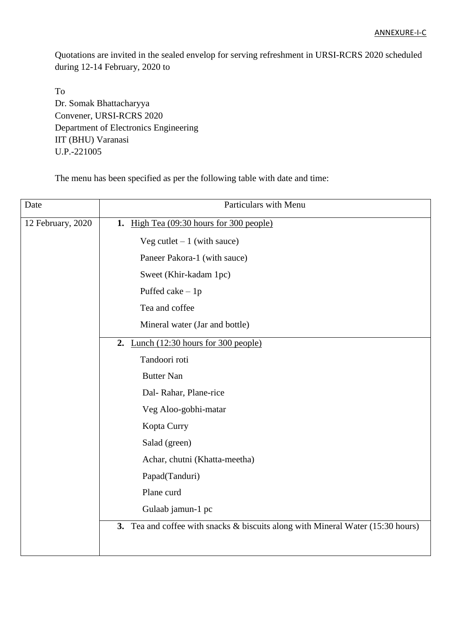Quotations are invited in the sealed envelop for serving refreshment in URSI-RCRS 2020 scheduled during 12-14 February, 2020 to

To Dr. Somak Bhattacharyya Convener, URSI-RCRS 2020 Department of Electronics Engineering IIT (BHU) Varanasi U.P.-221005

The menu has been specified as per the following table with date and time:

| Date              | Particulars with Menu                                                           |
|-------------------|---------------------------------------------------------------------------------|
| 12 February, 2020 | 1. High Tea (09:30 hours for 300 people)                                        |
|                   | Veg cutlet $-1$ (with sauce)                                                    |
|                   | Paneer Pakora-1 (with sauce)                                                    |
|                   | Sweet (Khir-kadam 1pc)                                                          |
|                   | Puffed cake $-1p$                                                               |
|                   | Tea and coffee                                                                  |
|                   | Mineral water (Jar and bottle)                                                  |
|                   | 2. Lunch $(12:30$ hours for 300 people)                                         |
|                   | Tandoori roti                                                                   |
|                   | <b>Butter Nan</b>                                                               |
|                   | Dal-Rahar, Plane-rice                                                           |
|                   | Veg Aloo-gobhi-matar                                                            |
|                   | Kopta Curry                                                                     |
|                   | Salad (green)                                                                   |
|                   | Achar, chutni (Khatta-meetha)                                                   |
|                   | Papad(Tanduri)                                                                  |
|                   | Plane curd                                                                      |
|                   | Gulaab jamun-1 pc                                                               |
|                   | 3. Tea and coffee with snacks & biscuits along with Mineral Water (15:30 hours) |
|                   |                                                                                 |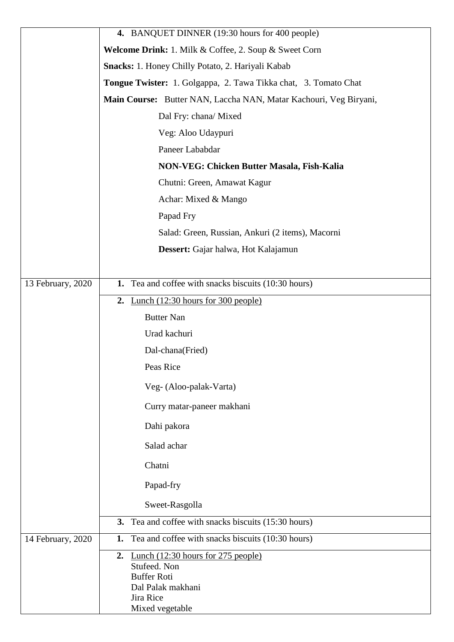|                   | 4. BANQUET DINNER (19:30 hours for 400 people)                    |  |  |  |
|-------------------|-------------------------------------------------------------------|--|--|--|
|                   | Welcome Drink: 1. Milk & Coffee, 2. Soup & Sweet Corn             |  |  |  |
|                   | Snacks: 1. Honey Chilly Potato, 2. Hariyali Kabab                 |  |  |  |
|                   | Tongue Twister: 1. Golgappa, 2. Tawa Tikka chat, 3. Tomato Chat   |  |  |  |
|                   | Main Course: Butter NAN, Laccha NAN, Matar Kachouri, Veg Biryani, |  |  |  |
|                   | Dal Fry: chana/ Mixed                                             |  |  |  |
|                   | Veg: Aloo Udaypuri                                                |  |  |  |
|                   | Paneer Lababdar                                                   |  |  |  |
|                   | NON-VEG: Chicken Butter Masala, Fish-Kalia                        |  |  |  |
|                   | Chutni: Green, Amawat Kagur                                       |  |  |  |
|                   | Achar: Mixed & Mango                                              |  |  |  |
|                   | Papad Fry                                                         |  |  |  |
|                   | Salad: Green, Russian, Ankuri (2 items), Macorni                  |  |  |  |
|                   | Dessert: Gajar halwa, Hot Kalajamun                               |  |  |  |
|                   |                                                                   |  |  |  |
| 13 February, 2020 | Tea and coffee with snacks biscuits (10:30 hours)<br>1.           |  |  |  |
|                   | 2. Lunch $(12:30 \text{ hours for } 300 \text{ people})$          |  |  |  |
|                   | <b>Butter Nan</b>                                                 |  |  |  |
|                   | Urad kachuri                                                      |  |  |  |
|                   | Dal-chana(Fried)                                                  |  |  |  |
|                   | Peas Rice                                                         |  |  |  |
|                   | Veg- (Aloo-palak-Varta)                                           |  |  |  |
|                   | Curry matar-paneer makhani                                        |  |  |  |
|                   | Dahi pakora                                                       |  |  |  |
|                   | Salad achar                                                       |  |  |  |
|                   | Chatni                                                            |  |  |  |
|                   | Papad-fry                                                         |  |  |  |
|                   | Sweet-Rasgolla                                                    |  |  |  |
|                   | 3. Tea and coffee with snacks biscuits (15:30 hours)              |  |  |  |
| 14 February, 2020 | Tea and coffee with snacks biscuits (10:30 hours)<br>1.           |  |  |  |
|                   | Lunch $(12:30$ hours for 275 people)<br>2.                        |  |  |  |
|                   | Stufeed. Non<br><b>Buffer Roti</b>                                |  |  |  |
|                   | Dal Palak makhani                                                 |  |  |  |
|                   | Jira Rice                                                         |  |  |  |
|                   | Mixed vegetable                                                   |  |  |  |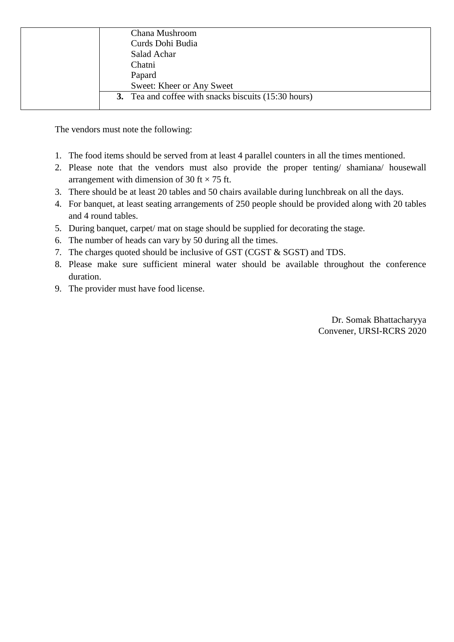| Chana Mushroom                                       |
|------------------------------------------------------|
| Curds Dohi Budia                                     |
| Salad Achar                                          |
| Chatni                                               |
| Papard                                               |
| Sweet: Kheer or Any Sweet                            |
| 3. Tea and coffee with snacks biscuits (15:30 hours) |
|                                                      |

The vendors must note the following:

- 1. The food items should be served from at least 4 parallel counters in all the times mentioned.
- 2. Please note that the vendors must also provide the proper tenting/ shamiana/ housewall arrangement with dimension of 30 ft  $\times$  75 ft.
- 3. There should be at least 20 tables and 50 chairs available during lunchbreak on all the days.
- 4. For banquet, at least seating arrangements of 250 people should be provided along with 20 tables and 4 round tables.
- 5. During banquet, carpet/ mat on stage should be supplied for decorating the stage.
- 6. The number of heads can vary by 50 during all the times.
- 7. The charges quoted should be inclusive of GST (CGST & SGST) and TDS.
- 8. Please make sure sufficient mineral water should be available throughout the conference duration.
- 9. The provider must have food license.

Dr. Somak Bhattacharyya Convener, URSI-RCRS 2020